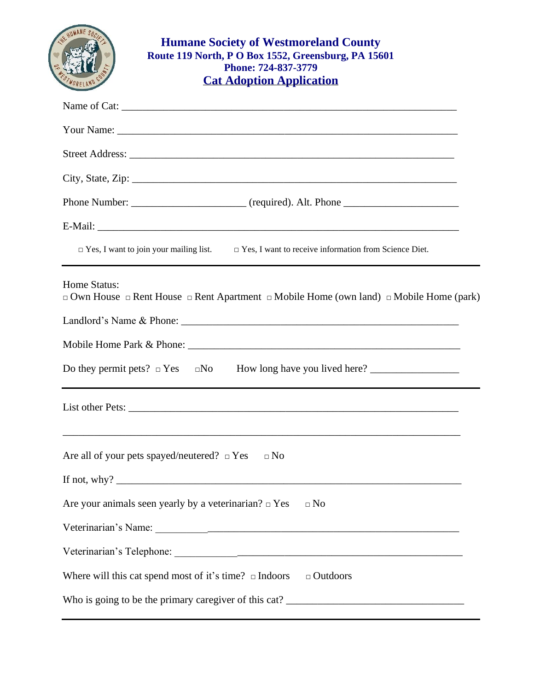| <b>Humane Society of Westmoreland County</b><br>Route 119 North, P O Box 1552, Greensburg, PA 15601<br>Phone: 724-837-3779<br><b>Cat Adoption Application</b> |
|---------------------------------------------------------------------------------------------------------------------------------------------------------------|
|                                                                                                                                                               |
|                                                                                                                                                               |
|                                                                                                                                                               |
| City, State, Zip: 2008. Experience of the State of Table 2008. The State of Table 2008. The State of Table 200                                                |
|                                                                                                                                                               |
|                                                                                                                                                               |
| $\Box$ Yes, I want to join your mailing list. $\Box$ Yes, I want to receive information from Science Diet.                                                    |
| Home Status:<br>$\Box$ Own House $\Box$ Rent House $\Box$ Rent Apartment $\Box$ Mobile Home (own land) $\Box$ Mobile Home (park)                              |
|                                                                                                                                                               |
| Are all of your pets spayed/neutered? $\square$ Yes<br>$\Box$ No                                                                                              |
| Are your animals seen yearly by a veterinarian? $\Box$ Yes<br>$\Box$ No                                                                                       |
|                                                                                                                                                               |
|                                                                                                                                                               |
| Where will this cat spend most of it's time? $\Box$ Indoors $\Box$ Outdoors                                                                                   |
|                                                                                                                                                               |